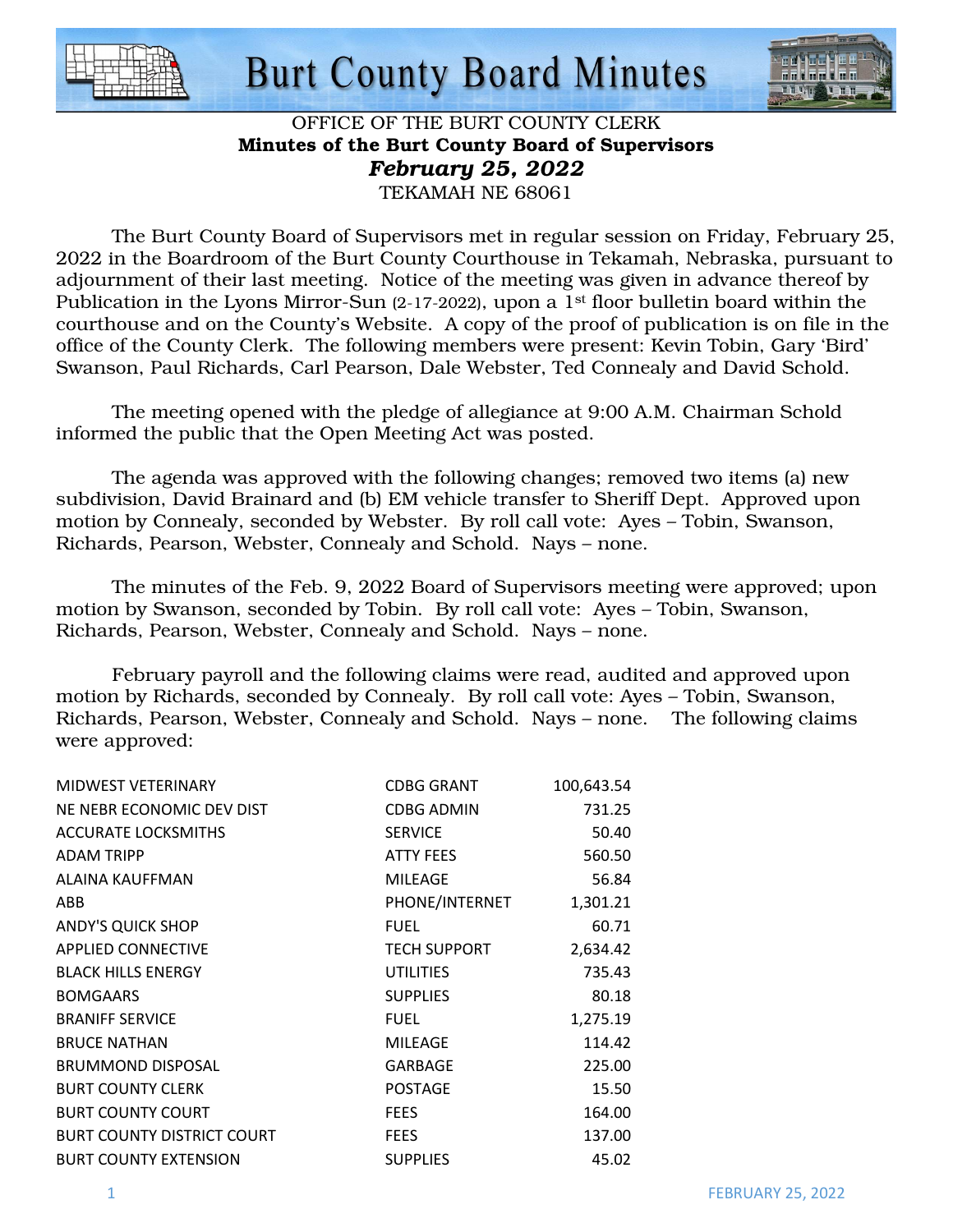



#### OFFICE OF THE BURT COUNTY CLERK Minutes of the Burt County Board of Supervisors *February 25, 2022*  TEKAMAH NE 68061

 The Burt County Board of Supervisors met in regular session on Friday, February 25, 2022 in the Boardroom of the Burt County Courthouse in Tekamah, Nebraska, pursuant to adjournment of their last meeting. Notice of the meeting was given in advance thereof by Publication in the Lyons Mirror-Sun (2-17-2022), upon a 1<sup>st</sup> floor bulletin board within the courthouse and on the County's Website. A copy of the proof of publication is on file in the office of the County Clerk. The following members were present: Kevin Tobin, Gary 'Bird' Swanson, Paul Richards, Carl Pearson, Dale Webster, Ted Connealy and David Schold.

The meeting opened with the pledge of allegiance at 9:00 A.M. Chairman Schold informed the public that the Open Meeting Act was posted.

The agenda was approved with the following changes; removed two items (a) new subdivision, David Brainard and (b) EM vehicle transfer to Sheriff Dept. Approved upon motion by Connealy, seconded by Webster. By roll call vote: Ayes – Tobin, Swanson, Richards, Pearson, Webster, Connealy and Schold. Nays – none.

The minutes of the Feb. 9, 2022 Board of Supervisors meeting were approved; upon motion by Swanson, seconded by Tobin. By roll call vote: Ayes – Tobin, Swanson, Richards, Pearson, Webster, Connealy and Schold. Nays – none.

February payroll and the following claims were read, audited and approved upon motion by Richards, seconded by Connealy. By roll call vote: Ayes – Tobin, Swanson, Richards, Pearson, Webster, Connealy and Schold. Nays – none. The following claims were approved:

| MIDWEST VETERINARY                | CDBG GRANT          | 100,643.54 |
|-----------------------------------|---------------------|------------|
| NE NEBR ECONOMIC DEV DIST         | <b>CDBG ADMIN</b>   | 731.25     |
| <b>ACCURATE LOCKSMITHS</b>        | <b>SERVICE</b>      | 50.40      |
| <b>ADAM TRIPP</b>                 | <b>ATTY FEES</b>    | 560.50     |
| ALAINA KAUFFMAN                   | <b>MILEAGE</b>      | 56.84      |
| ABB                               | PHONE/INTERNET      | 1,301.21   |
| <b>ANDY'S QUICK SHOP</b>          | <b>FUEL</b>         | 60.71      |
| <b>APPLIED CONNECTIVE</b>         | <b>TECH SUPPORT</b> | 2,634.42   |
| <b>BLACK HILLS ENERGY</b>         | <b>UTILITIES</b>    | 735.43     |
| <b>BOMGAARS</b>                   | <b>SUPPLIES</b>     | 80.18      |
| <b>BRANIFF SERVICE</b>            | <b>FUEL</b>         | 1,275.19   |
| <b>BRUCE NATHAN</b>               | <b>MILEAGE</b>      | 114.42     |
| <b>BRUMMOND DISPOSAL</b>          | <b>GARBAGE</b>      | 225.00     |
| <b>BURT COUNTY CLERK</b>          | <b>POSTAGE</b>      | 15.50      |
| <b>BURT COUNTY COURT</b>          | <b>FEES</b>         | 164.00     |
| <b>BURT COUNTY DISTRICT COURT</b> | <b>FEES</b>         | 137.00     |
| <b>BURT COUNTY EXTENSION</b>      | <b>SUPPLIES</b>     | 45.02      |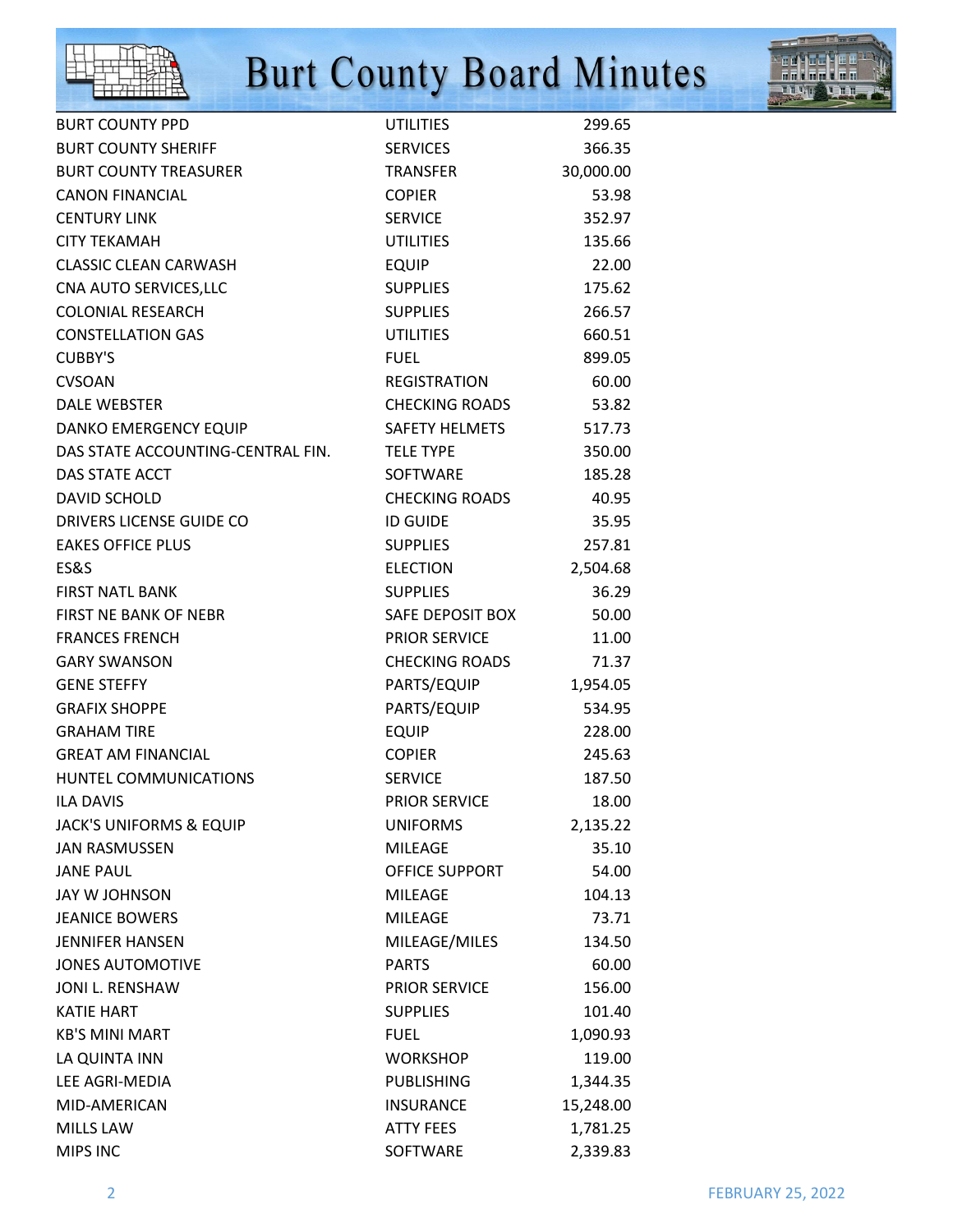



| <b>BURT COUNTY PPD</b>             | <b>UTILITIES</b>      | 299.65    |
|------------------------------------|-----------------------|-----------|
| <b>BURT COUNTY SHERIFF</b>         | <b>SERVICES</b>       | 366.35    |
| <b>BURT COUNTY TREASURER</b>       | <b>TRANSFER</b>       | 30,000.00 |
| <b>CANON FINANCIAL</b>             | <b>COPIER</b>         | 53.98     |
| <b>CENTURY LINK</b>                | <b>SERVICE</b>        | 352.97    |
| <b>CITY TEKAMAH</b>                | <b>UTILITIES</b>      | 135.66    |
| <b>CLASSIC CLEAN CARWASH</b>       | <b>EQUIP</b>          | 22.00     |
| CNA AUTO SERVICES, LLC             | <b>SUPPLIES</b>       | 175.62    |
| <b>COLONIAL RESEARCH</b>           | <b>SUPPLIES</b>       | 266.57    |
| <b>CONSTELLATION GAS</b>           | <b>UTILITIES</b>      | 660.51    |
| <b>CUBBY'S</b>                     | <b>FUEL</b>           | 899.05    |
| <b>CVSOAN</b>                      | <b>REGISTRATION</b>   | 60.00     |
| <b>DALE WEBSTER</b>                | <b>CHECKING ROADS</b> | 53.82     |
| DANKO EMERGENCY EQUIP              | SAFETY HELMETS        | 517.73    |
| DAS STATE ACCOUNTING-CENTRAL FIN.  | <b>TELE TYPE</b>      | 350.00    |
| DAS STATE ACCT                     | <b>SOFTWARE</b>       | 185.28    |
| <b>DAVID SCHOLD</b>                | <b>CHECKING ROADS</b> | 40.95     |
| DRIVERS LICENSE GUIDE CO           | <b>ID GUIDE</b>       | 35.95     |
| <b>EAKES OFFICE PLUS</b>           | <b>SUPPLIES</b>       | 257.81    |
| ES&S                               | <b>ELECTION</b>       | 2,504.68  |
| <b>FIRST NATL BANK</b>             | <b>SUPPLIES</b>       | 36.29     |
| FIRST NE BANK OF NEBR              | SAFE DEPOSIT BOX      | 50.00     |
| <b>FRANCES FRENCH</b>              | <b>PRIOR SERVICE</b>  | 11.00     |
| <b>GARY SWANSON</b>                | <b>CHECKING ROADS</b> | 71.37     |
| <b>GENE STEFFY</b>                 | PARTS/EQUIP           | 1,954.05  |
| <b>GRAFIX SHOPPE</b>               | PARTS/EQUIP           | 534.95    |
| <b>GRAHAM TIRE</b>                 | <b>EQUIP</b>          | 228.00    |
| <b>GREAT AM FINANCIAL</b>          | <b>COPIER</b>         | 245.63    |
| HUNTEL COMMUNICATIONS              | <b>SERVICE</b>        | 187.50    |
| <b>ILA DAVIS</b>                   | <b>PRIOR SERVICE</b>  | 18.00     |
| <b>JACK'S UNIFORMS &amp; EQUIP</b> | <b>UNIFORMS</b>       | 2,135.22  |
| <b>JAN RASMUSSEN</b>               | <b>MILEAGE</b>        | 35.10     |
| <b>JANE PAUL</b>                   | OFFICE SUPPORT        | 54.00     |
| JAY W JOHNSON                      | <b>MILEAGE</b>        | 104.13    |
| <b>JEANICE BOWERS</b>              | <b>MILEAGE</b>        | 73.71     |
| <b>JENNIFER HANSEN</b>             | MILEAGE/MILES         | 134.50    |
| <b>JONES AUTOMOTIVE</b>            | <b>PARTS</b>          | 60.00     |
| JONI L. RENSHAW                    | <b>PRIOR SERVICE</b>  | 156.00    |
| <b>KATIE HART</b>                  | <b>SUPPLIES</b>       | 101.40    |
| <b>KB'S MINI MART</b>              | <b>FUEL</b>           | 1,090.93  |
| LA QUINTA INN                      | <b>WORKSHOP</b>       | 119.00    |
| LEE AGRI-MEDIA                     | <b>PUBLISHING</b>     | 1,344.35  |
| MID-AMERICAN                       | <b>INSURANCE</b>      | 15,248.00 |
| <b>MILLS LAW</b>                   | <b>ATTY FEES</b>      | 1,781.25  |
| MIPS INC                           | SOFTWARE              | 2,339.83  |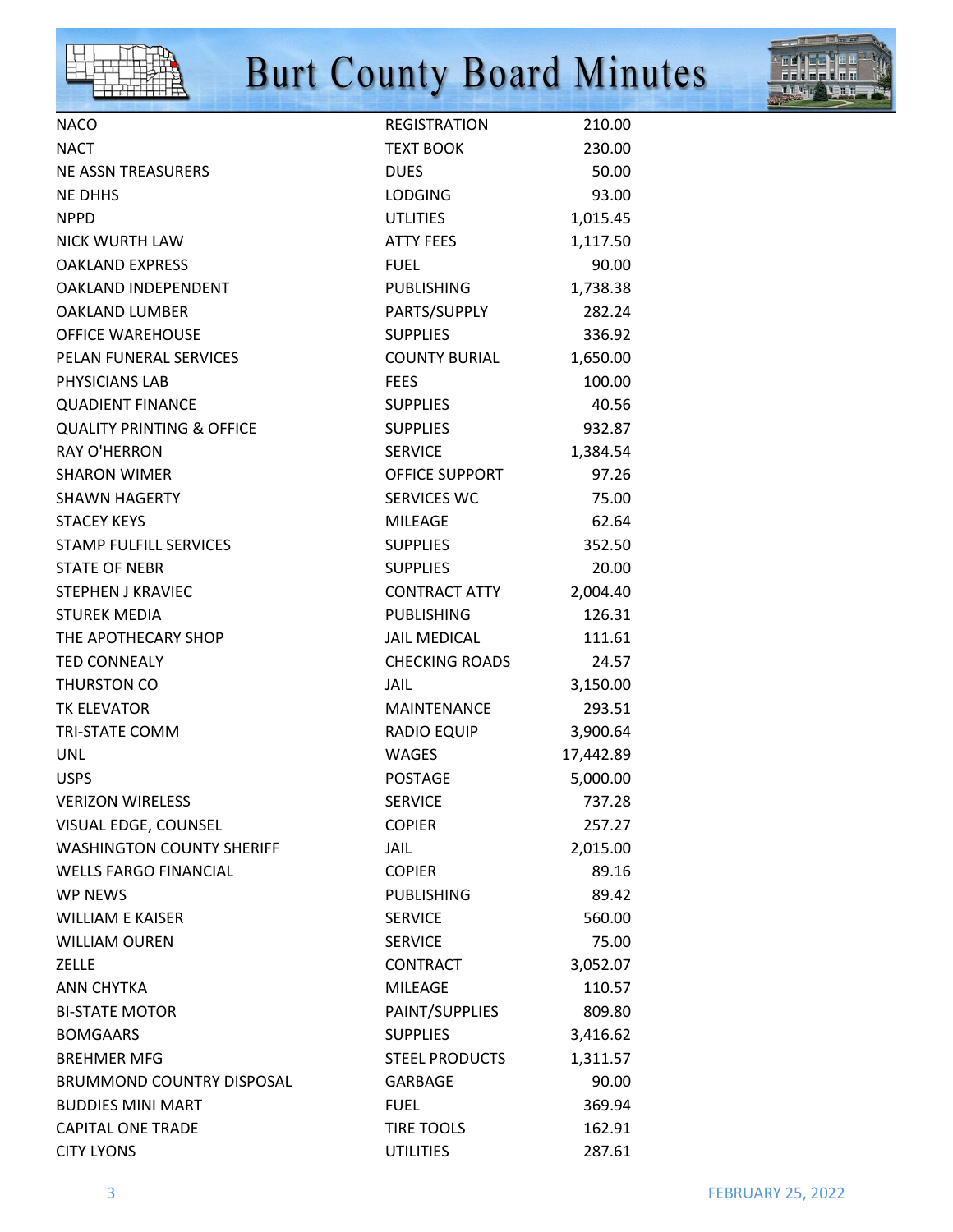



| <b>NACO</b>                          | REGISTRATION          | 210.00    |
|--------------------------------------|-----------------------|-----------|
| <b>NACT</b>                          | <b>TEXT BOOK</b>      | 230.00    |
| <b>NE ASSN TREASURERS</b>            | <b>DUES</b>           | 50.00     |
| <b>NE DHHS</b>                       | <b>LODGING</b>        | 93.00     |
| <b>NPPD</b>                          | <b>UTLITIES</b>       | 1,015.45  |
| <b>NICK WURTH LAW</b>                | ATTY FEES             | 1,117.50  |
| <b>OAKLAND EXPRESS</b>               | <b>FUEL</b>           | 90.00     |
| OAKLAND INDEPENDENT                  | <b>PUBLISHING</b>     | 1,738.38  |
| <b>OAKLAND LUMBER</b>                | PARTS/SUPPLY          | 282.24    |
| <b>OFFICE WAREHOUSE</b>              | <b>SUPPLIES</b>       | 336.92    |
| PELAN FUNERAL SERVICES               | <b>COUNTY BURIAL</b>  | 1,650.00  |
| PHYSICIANS LAB                       | <b>FEES</b>           | 100.00    |
| <b>QUADIENT FINANCE</b>              | <b>SUPPLIES</b>       | 40.56     |
| <b>QUALITY PRINTING &amp; OFFICE</b> | <b>SUPPLIES</b>       | 932.87    |
| <b>RAY O'HERRON</b>                  | <b>SERVICE</b>        | 1,384.54  |
| <b>SHARON WIMER</b>                  | OFFICE SUPPORT        | 97.26     |
| <b>SHAWN HAGERTY</b>                 | SERVICES WC           | 75.00     |
| <b>STACEY KEYS</b>                   | <b>MILEAGE</b>        | 62.64     |
| STAMP FULFILL SERVICES               | <b>SUPPLIES</b>       | 352.50    |
| <b>STATE OF NEBR</b>                 | <b>SUPPLIES</b>       | 20.00     |
| <b>STEPHEN J KRAVIEC</b>             | <b>CONTRACT ATTY</b>  | 2,004.40  |
| <b>STUREK MEDIA</b>                  | <b>PUBLISHING</b>     | 126.31    |
| THE APOTHECARY SHOP                  | <b>JAIL MEDICAL</b>   | 111.61    |
| <b>TED CONNEALY</b>                  | <b>CHECKING ROADS</b> | 24.57     |
| THURSTON CO                          | <b>JAIL</b>           | 3,150.00  |
| <b>TK ELEVATOR</b>                   | MAINTENANCE           | 293.51    |
| <b>TRI-STATE COMM</b>                | RADIO EQUIP           | 3,900.64  |
| <b>UNL</b>                           | <b>WAGES</b>          | 17,442.89 |
| <b>USPS</b>                          | <b>POSTAGE</b>        | 5,000.00  |
| <b>VERIZON WIRELESS</b>              | <b>SERVICE</b>        | 737.28    |
| VISUAL EDGE, COUNSEL                 | <b>COPIER</b>         | 257.27    |
| <b>WASHINGTON COUNTY SHERIFF</b>     | JAIL                  | 2,015.00  |
| <b>WELLS FARGO FINANCIAL</b>         | <b>COPIER</b>         | 89.16     |
| WP NEWS                              | <b>PUBLISHING</b>     | 89.42     |
| <b>WILLIAM E KAISER</b>              | <b>SERVICE</b>        | 560.00    |
| <b>WILLIAM OUREN</b>                 | <b>SERVICE</b>        | 75.00     |
| <b>ZELLE</b>                         | <b>CONTRACT</b>       | 3,052.07  |
| <b>ANN CHYTKA</b>                    | <b>MILEAGE</b>        | 110.57    |
| <b>BI-STATE MOTOR</b>                | PAINT/SUPPLIES        | 809.80    |
| <b>BOMGAARS</b>                      | <b>SUPPLIES</b>       | 3,416.62  |
| <b>BREHMER MFG</b>                   | <b>STEEL PRODUCTS</b> | 1,311.57  |
| BRUMMOND COUNTRY DISPOSAL            | <b>GARBAGE</b>        | 90.00     |
| <b>BUDDIES MINI MART</b>             | <b>FUEL</b>           | 369.94    |
| <b>CAPITAL ONE TRADE</b>             | <b>TIRE TOOLS</b>     | 162.91    |
| <b>CITY LYONS</b>                    | <b>UTILITIES</b>      | 287.61    |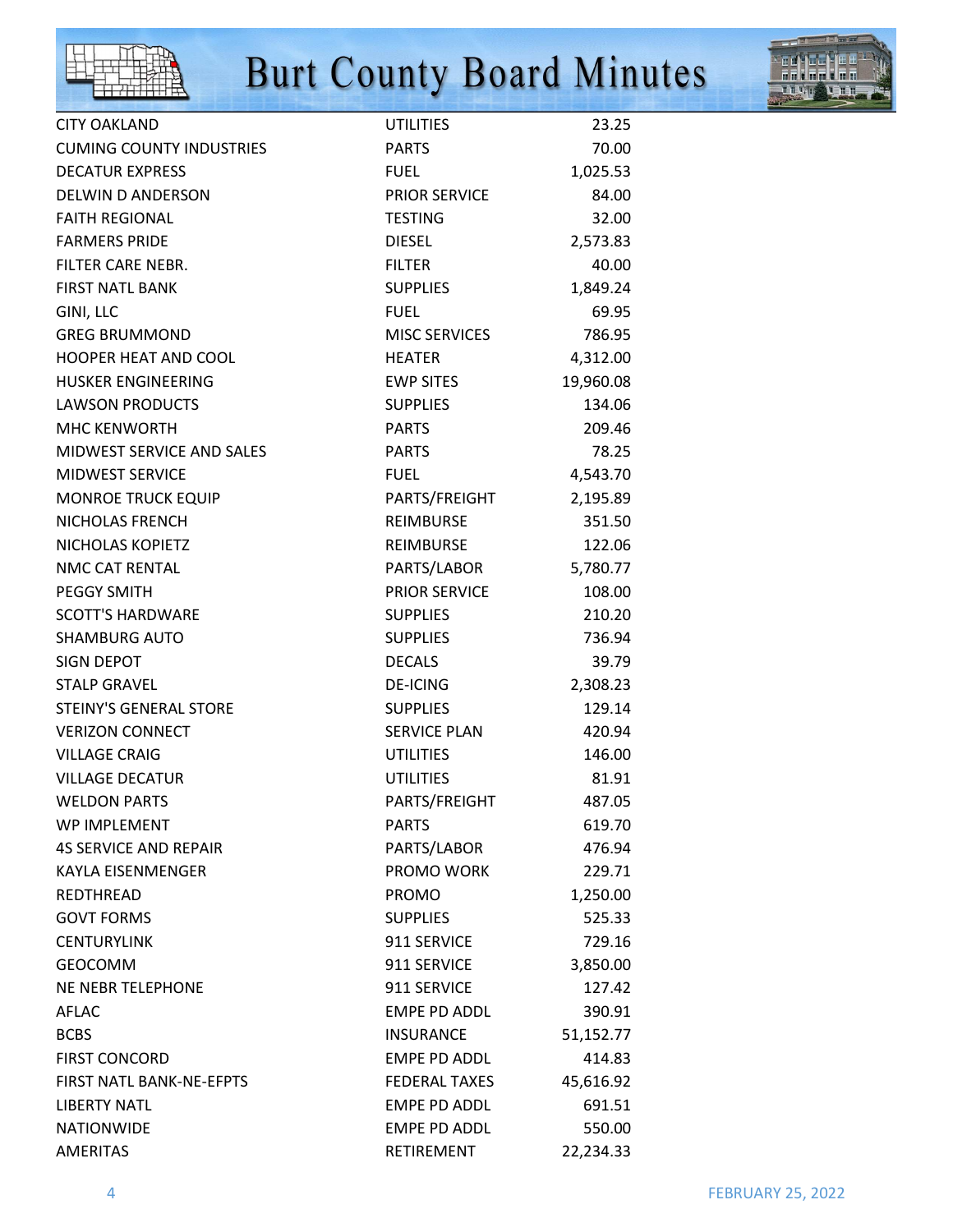



| <b>CITY OAKLAND</b>             | <b>UTILITIES</b>     | 23.25     |
|---------------------------------|----------------------|-----------|
| <b>CUMING COUNTY INDUSTRIES</b> | <b>PARTS</b>         | 70.00     |
| <b>DECATUR EXPRESS</b>          | <b>FUEL</b>          | 1,025.53  |
| DELWIN D ANDERSON               | <b>PRIOR SERVICE</b> | 84.00     |
| <b>FAITH REGIONAL</b>           | <b>TESTING</b>       | 32.00     |
| <b>FARMERS PRIDE</b>            | <b>DIESEL</b>        | 2,573.83  |
| FILTER CARE NEBR.               | <b>FILTER</b>        | 40.00     |
| <b>FIRST NATL BANK</b>          | <b>SUPPLIES</b>      | 1,849.24  |
| GINI, LLC                       | <b>FUEL</b>          | 69.95     |
| <b>GREG BRUMMOND</b>            | <b>MISC SERVICES</b> | 786.95    |
| <b>HOOPER HEAT AND COOL</b>     | <b>HEATER</b>        | 4,312.00  |
| <b>HUSKER ENGINEERING</b>       | <b>EWP SITES</b>     | 19,960.08 |
| <b>LAWSON PRODUCTS</b>          | <b>SUPPLIES</b>      | 134.06    |
| <b>MHC KENWORTH</b>             | <b>PARTS</b>         | 209.46    |
| MIDWEST SERVICE AND SALES       | <b>PARTS</b>         | 78.25     |
| MIDWEST SERVICE                 | <b>FUEL</b>          | 4,543.70  |
| <b>MONROE TRUCK EQUIP</b>       | PARTS/FREIGHT        | 2,195.89  |
| NICHOLAS FRENCH                 | <b>REIMBURSE</b>     | 351.50    |
| NICHOLAS KOPIETZ                | <b>REIMBURSE</b>     | 122.06    |
| NMC CAT RENTAL                  | PARTS/LABOR          | 5,780.77  |
| <b>PEGGY SMITH</b>              | PRIOR SERVICE        | 108.00    |
| <b>SCOTT'S HARDWARE</b>         | <b>SUPPLIES</b>      | 210.20    |
| <b>SHAMBURG AUTO</b>            | <b>SUPPLIES</b>      | 736.94    |
| <b>SIGN DEPOT</b>               | <b>DECALS</b>        | 39.79     |
| <b>STALP GRAVEL</b>             | <b>DE-ICING</b>      | 2,308.23  |
| <b>STEINY'S GENERAL STORE</b>   | <b>SUPPLIES</b>      | 129.14    |
| <b>VERIZON CONNECT</b>          | SERVICE PLAN         | 420.94    |
| <b>VILLAGE CRAIG</b>            | <b>UTILITIES</b>     | 146.00    |
| <b>VILLAGE DECATUR</b>          | <b>UTILITIES</b>     | 81.91     |
| <b>WELDON PARTS</b>             | PARTS/FREIGHT        | 487.05    |
| <b>WP IMPLEMENT</b>             | <b>PARTS</b>         | 619.70    |
| <b>4S SERVICE AND REPAIR</b>    | PARTS/LABOR          | 476.94    |
| <b>KAYLA EISENMENGER</b>        | PROMO WORK           | 229.71    |
| REDTHREAD                       | <b>PROMO</b>         | 1,250.00  |
| <b>GOVT FORMS</b>               | <b>SUPPLIES</b>      | 525.33    |
| <b>CENTURYLINK</b>              | 911 SERVICE          | 729.16    |
| <b>GEOCOMM</b>                  | 911 SERVICE          | 3,850.00  |
| <b>NE NEBR TELEPHONE</b>        | 911 SERVICE          | 127.42    |
| AFLAC                           | <b>EMPE PD ADDL</b>  | 390.91    |
| <b>BCBS</b>                     | <b>INSURANCE</b>     | 51,152.77 |
| <b>FIRST CONCORD</b>            | <b>EMPE PD ADDL</b>  | 414.83    |
| FIRST NATL BANK-NE-EFPTS        | <b>FEDERAL TAXES</b> | 45,616.92 |
| <b>LIBERTY NATL</b>             | <b>EMPE PD ADDL</b>  | 691.51    |
| <b>NATIONWIDE</b>               | <b>EMPE PD ADDL</b>  | 550.00    |
| <b>AMERITAS</b>                 | RETIREMENT           | 22,234.33 |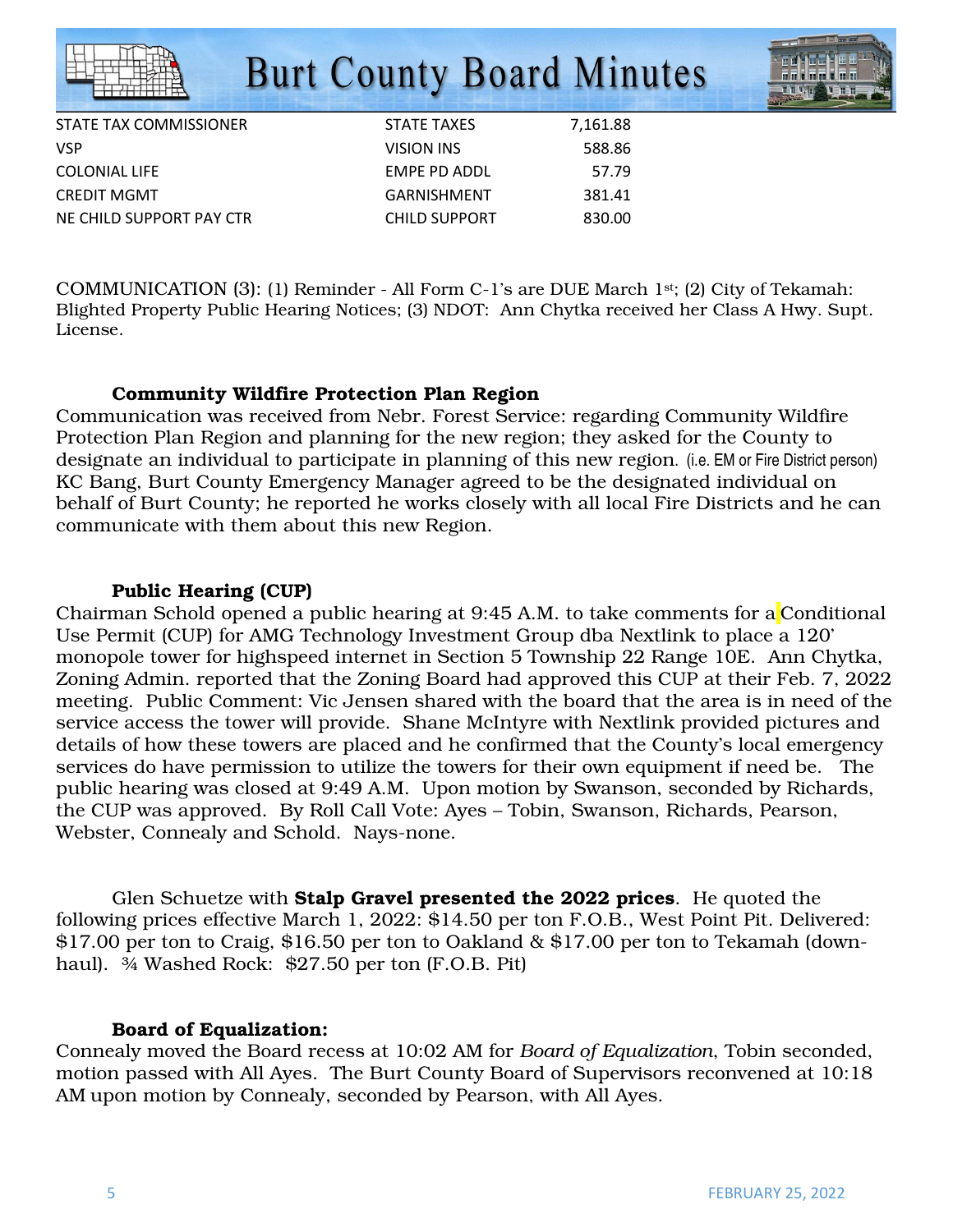|                          | <b>Burt County Board Minutes</b> |          |  |
|--------------------------|----------------------------------|----------|--|
| STATE TAX COMMISSIONER   | <b>STATE TAXES</b>               | 7,161.88 |  |
| VSP                      | <b>VISION INS</b>                | 588.86   |  |
| COLONIAL LIFE            | <b>EMPE PD ADDL</b>              | 57.79    |  |
| CREDIT MGMT              | <b>GARNISHMENT</b>               | 381.41   |  |
| NE CHILD SUPPORT PAY CTR | <b>CHILD SUPPORT</b>             | 830.00   |  |
|                          |                                  |          |  |

COMMUNICATION (3): (1) Reminder - All Form C-1's are DUE March 1st; (2) City of Tekamah: Blighted Property Public Hearing Notices; (3) NDOT: Ann Chytka received her Class A Hwy. Supt. License.

#### Community Wildfire Protection Plan Region

Communication was received from Nebr. Forest Service: regarding Community Wildfire Protection Plan Region and planning for the new region; they asked for the County to designate an individual to participate in planning of this new region. (i.e. EM or Fire District person) KC Bang, Burt County Emergency Manager agreed to be the designated individual on behalf of Burt County; he reported he works closely with all local Fire Districts and he can communicate with them about this new Region.

#### Public Hearing (CUP)

Chairman Schold opened a public hearing at 9:45 A.M. to take comments for a Conditional Use Permit (CUP) for AMG Technology Investment Group dba Nextlink to place a 120' monopole tower for highspeed internet in Section 5 Township 22 Range 10E. Ann Chytka, Zoning Admin. reported that the Zoning Board had approved this CUP at their Feb. 7, 2022 meeting. Public Comment: Vic Jensen shared with the board that the area is in need of the service access the tower will provide. Shane McIntyre with Nextlink provided pictures and details of how these towers are placed and he confirmed that the County's local emergency services do have permission to utilize the towers for their own equipment if need be. The public hearing was closed at 9:49 A.M. Upon motion by Swanson, seconded by Richards, the CUP was approved. By Roll Call Vote: Ayes – Tobin, Swanson, Richards, Pearson, Webster, Connealy and Schold. Nays-none.

 Glen Schuetze with Stalp Gravel presented the 2022 prices. He quoted the following prices effective March 1, 2022: \$14.50 per ton F.O.B., West Point Pit. Delivered: \$17.00 per ton to Craig, \$16.50 per ton to Oakland & \$17.00 per ton to Tekamah (downhaul). ¾ Washed Rock: \$27.50 per ton (F.O.B. Pit)

#### Board of Equalization:

Connealy moved the Board recess at 10:02 AM for *Board of Equalization*, Tobin seconded, motion passed with All Ayes. The Burt County Board of Supervisors reconvened at 10:18 AM upon motion by Connealy, seconded by Pearson, with All Ayes.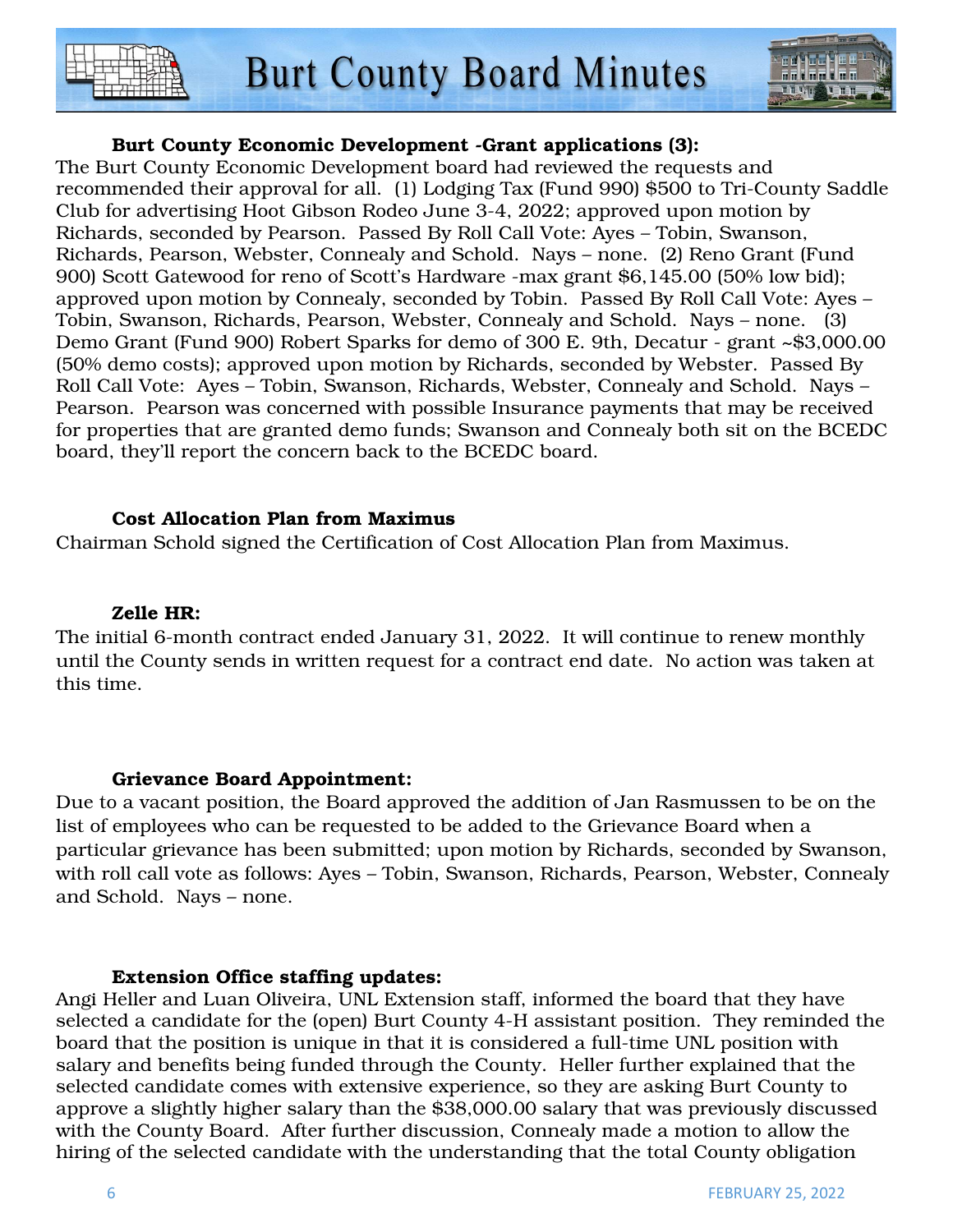



### Burt County Economic Development -Grant applications (3):

The Burt County Economic Development board had reviewed the requests and recommended their approval for all. (1) Lodging Tax (Fund 990) \$500 to Tri-County Saddle Club for advertising Hoot Gibson Rodeo June 3-4, 2022; approved upon motion by Richards, seconded by Pearson. Passed By Roll Call Vote: Ayes – Tobin, Swanson, Richards, Pearson, Webster, Connealy and Schold. Nays – none. (2) Reno Grant (Fund 900) Scott Gatewood for reno of Scott's Hardware -max grant \$6,145.00 (50% low bid); approved upon motion by Connealy, seconded by Tobin. Passed By Roll Call Vote: Ayes – Tobin, Swanson, Richards, Pearson, Webster, Connealy and Schold. Nays – none. (3) Demo Grant (Fund 900) Robert Sparks for demo of 300 E. 9th, Decatur - grant ~\$3,000.00 (50% demo costs); approved upon motion by Richards, seconded by Webster. Passed By Roll Call Vote: Ayes – Tobin, Swanson, Richards, Webster, Connealy and Schold. Nays – Pearson. Pearson was concerned with possible Insurance payments that may be received for properties that are granted demo funds; Swanson and Connealy both sit on the BCEDC board, they'll report the concern back to the BCEDC board.

#### Cost Allocation Plan from Maximus

Chairman Schold signed the Certification of Cost Allocation Plan from Maximus.

#### Zelle HR:

The initial 6-month contract ended January 31, 2022. It will continue to renew monthly until the County sends in written request for a contract end date. No action was taken at this time.

#### Grievance Board Appointment:

Due to a vacant position, the Board approved the addition of Jan Rasmussen to be on the list of employees who can be requested to be added to the Grievance Board when a particular grievance has been submitted; upon motion by Richards, seconded by Swanson, with roll call vote as follows: Ayes – Tobin, Swanson, Richards, Pearson, Webster, Connealy and Schold. Nays – none.

#### Extension Office staffing updates:

Angi Heller and Luan Oliveira, UNL Extension staff, informed the board that they have selected a candidate for the (open) Burt County 4-H assistant position. They reminded the board that the position is unique in that it is considered a full-time UNL position with salary and benefits being funded through the County. Heller further explained that the selected candidate comes with extensive experience, so they are asking Burt County to approve a slightly higher salary than the \$38,000.00 salary that was previously discussed with the County Board. After further discussion, Connealy made a motion to allow the hiring of the selected candidate with the understanding that the total County obligation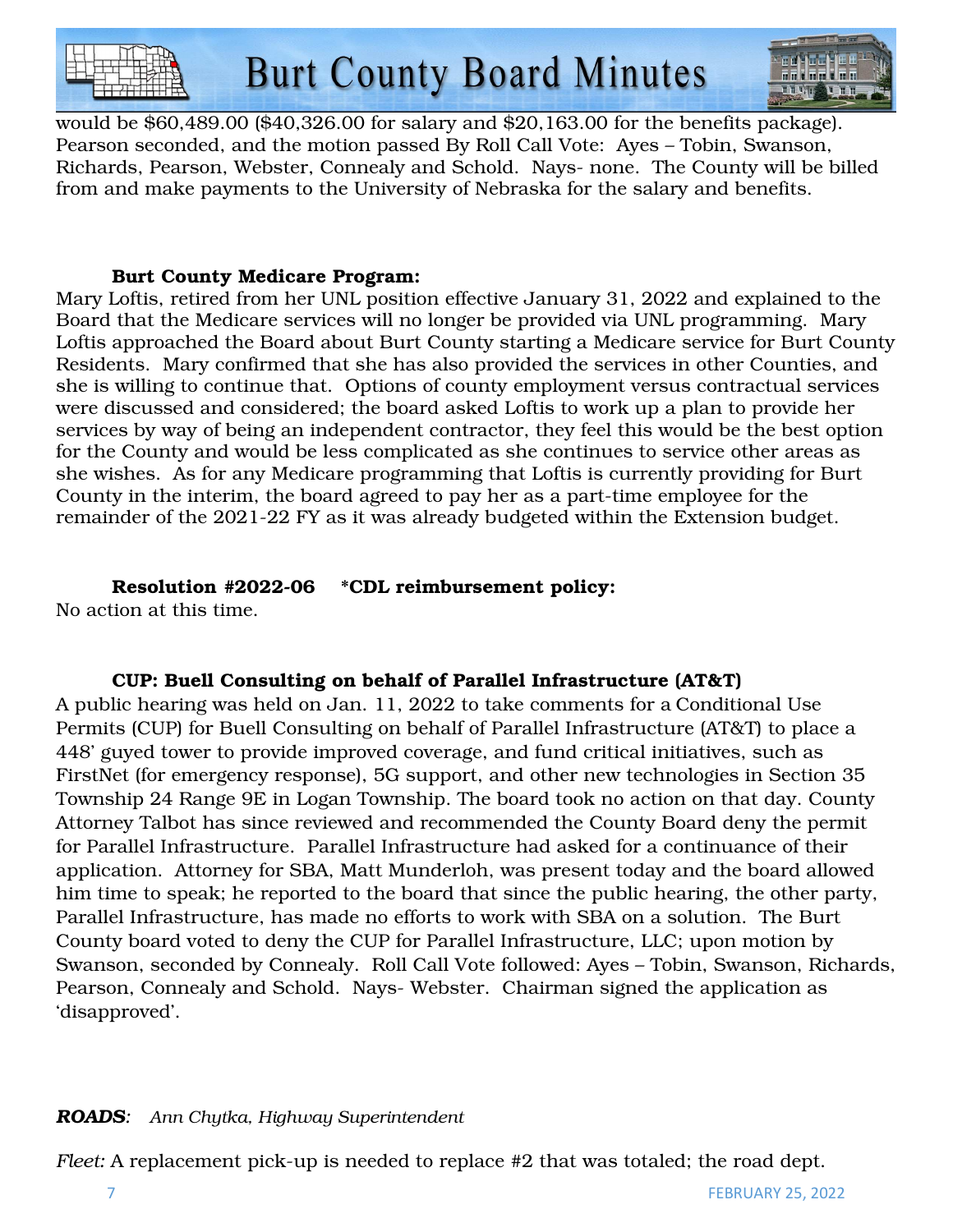



would be \$60,489.00 (\$40,326.00 for salary and \$20,163.00 for the benefits package). Pearson seconded, and the motion passed By Roll Call Vote: Ayes – Tobin, Swanson, Richards, Pearson, Webster, Connealy and Schold. Nays- none. The County will be billed from and make payments to the University of Nebraska for the salary and benefits.

#### Burt County Medicare Program:

Mary Loftis, retired from her UNL position effective January 31, 2022 and explained to the Board that the Medicare services will no longer be provided via UNL programming. Mary Loftis approached the Board about Burt County starting a Medicare service for Burt County Residents. Mary confirmed that she has also provided the services in other Counties, and she is willing to continue that. Options of county employment versus contractual services were discussed and considered; the board asked Loftis to work up a plan to provide her services by way of being an independent contractor, they feel this would be the best option for the County and would be less complicated as she continues to service other areas as she wishes. As for any Medicare programming that Loftis is currently providing for Burt County in the interim, the board agreed to pay her as a part-time employee for the remainder of the 2021-22 FY as it was already budgeted within the Extension budget.

### Resolution #2022-06 \*CDL reimbursement policy:

No action at this time.

## CUP: Buell Consulting on behalf of Parallel Infrastructure (AT&T)

A public hearing was held on Jan. 11, 2022 to take comments for a Conditional Use Permits (CUP) for Buell Consulting on behalf of Parallel Infrastructure (AT&T) to place a 448' guyed tower to provide improved coverage, and fund critical initiatives, such as FirstNet (for emergency response), 5G support, and other new technologies in Section 35 Township 24 Range 9E in Logan Township. The board took no action on that day. County Attorney Talbot has since reviewed and recommended the County Board deny the permit for Parallel Infrastructure. Parallel Infrastructure had asked for a continuance of their application. Attorney for SBA, Matt Munderloh, was present today and the board allowed him time to speak; he reported to the board that since the public hearing, the other party, Parallel Infrastructure, has made no efforts to work with SBA on a solution. The Burt County board voted to deny the CUP for Parallel Infrastructure, LLC; upon motion by Swanson, seconded by Connealy. Roll Call Vote followed: Ayes – Tobin, Swanson, Richards, Pearson, Connealy and Schold. Nays- Webster. Chairman signed the application as 'disapproved'.

### *ROADS: Ann Chytka, Highway Superintendent*

*Fleet:* A replacement pick-up is needed to replace #2 that was totaled; the road dept.